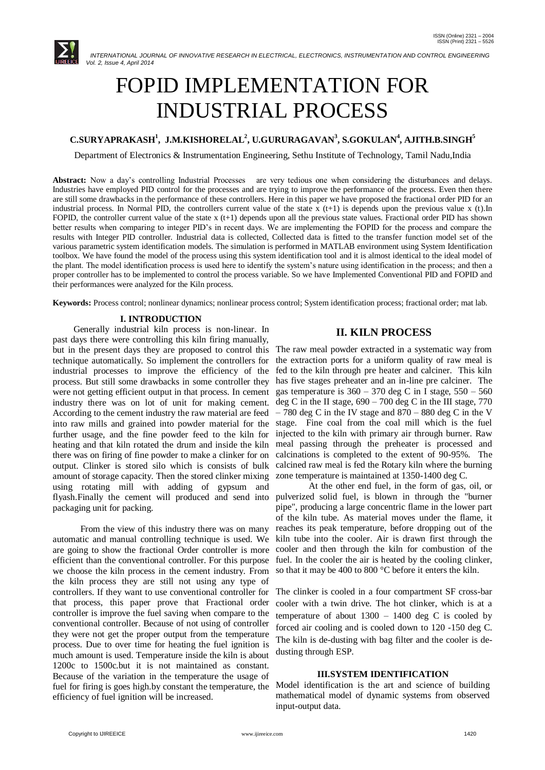

# FOPID IMPLEMENTATION FOR INDUSTRIAL PROCESS

# **C.SURYAPRAKASH<sup>1</sup> , J.M.KISHORELAL<sup>2</sup> , U.GURURAGAVAN<sup>3</sup> , S.GOKULAN<sup>4</sup> , AJITH.B.SINGH<sup>5</sup>**

Department of Electronics & Instrumentation Engineering, Sethu Institute of Technology, Tamil Nadu,India

**Abstract:** Now a day's controlling Industrial Processes are very tedious one when considering the disturbances and delays. Industries have employed PID control for the processes and are trying to improve the performance of the process. Even then there are still some drawbacks in the performance of these controllers. Here in this paper we have proposed the fractional order PID for an industrial process. In Normal PID, the controllers current value of the state  $\bar{x}$  (t+1) is depends upon the previous value  $\bar{x}$  (t).In FOPID, the controller current value of the state  $x(t+1)$  depends upon all the previous state values. Fractional order PID has shown better results when comparing to integer PID's in recent days. We are implementing the FOPID for the process and compare the results with Integer PID controller. Industrial data is collected, Collected data is fitted to the transfer function model set of the various parametric system identification models. The simulation is performed in MATLAB environment using System Identification toolbox. We have found the model of the process using this system identification tool and it is almost identical to the ideal model of the plant. The model identification process is used here to identify the system's nature using identification in the process; and then a proper controller has to be implemented to control the process variable. So we have Implemented Conventional PID and FOPID and their performances were analyzed for the Kiln process.

**Keywords:** Process control; nonlinear dynamics; nonlinear process control; System identification process; fractional order; mat lab.

#### **I. INTRODUCTION**

 Generally industrial kiln process is non-linear. In past days there were controlling this kiln firing manually, but in the present days they are proposed to control this The raw meal powder extracted in a systematic way from technique automatically. So implement the controllers for industrial processes to improve the efficiency of the fed to the kiln through pre heater and calciner. This kiln process. But still some drawbacks in some controller they were not getting efficient output in that process. In cement industry there was on lot of unit for making cement. According to the cement industry the raw material are feed into raw mills and grained into powder material for the stage. Fine coal from the coal mill which is the fuel further usage, and the fine powder feed to the kiln for heating and that kiln rotated the drum and inside the kiln there was on firing of fine powder to make a clinker for on output. Clinker is stored silo which is consists of bulk amount of storage capacity. Then the stored clinker mixing using rotating mill with adding of gypsum and flyash.Finally the cement will produced and send into pulverized solid fuel, is blown in through the "burner packaging unit for packing.

 From the view of this industry there was on many automatic and manual controlling technique is used. We are going to show the fractional Order controller is more efficient than the conventional controller. For this purpose we choose the kiln process in the cement industry. From the kiln process they are still not using any type of controllers. If they want to use conventional controller for that process, this paper prove that Fractional order controller is improve the fuel saving when compare to the conventional controller. Because of not using of controller they were not get the proper output from the temperature process. Due to over time for heating the fuel ignition is much amount is used. Temperature inside the kiln is about 1200c to 1500c.but it is not maintained as constant. Because of the variation in the temperature the usage of fuel for firing is goes high.by constant the temperature, the efficiency of fuel ignition will be increased.

# **II. KILN PROCESS**

the extraction ports for a uniform quality of raw meal is has five stages preheater and an in-line pre calciner. The gas temperature is  $360 - 370$  deg C in I stage,  $550 - 560$ deg C in the II stage,  $690 - 700$  deg C in the III stage, 770  $-780$  deg C in the IV stage and  $870 - 880$  deg C in the V injected to the kiln with primary air through burner. Raw meal passing through the preheater is processed and calcinations is completed to the extent of 90-95%. The calcined raw meal is fed the Rotary kiln where the burning zone temperature is maintained at 1350-1400 deg C.

At the other end fuel, in the form of gas, oil, or pipe", producing a large concentric flame in the lower part of the kiln tube. As material moves under the flame, it reaches its peak temperature, before dropping out of the kiln tube into the cooler. Air is drawn first through the cooler and then through the kiln for combustion of the fuel. In the cooler the air is heated by the cooling clinker, so that it may be 400 to 800 °C before it enters the kiln.

The clinker is cooled in a four compartment SF cross-bar cooler with a twin drive. The hot clinker, which is at a temperature of about  $1300 - 1400$  deg C is cooled by forced air cooling and is cooled down to 120 -150 deg C. The kiln is de-dusting with bag filter and the cooler is dedusting through ESP.

# **III.SYSTEM IDENTIFICATION**

Model identification is the art and science of building mathematical model of dynamic systems from observed input-output data.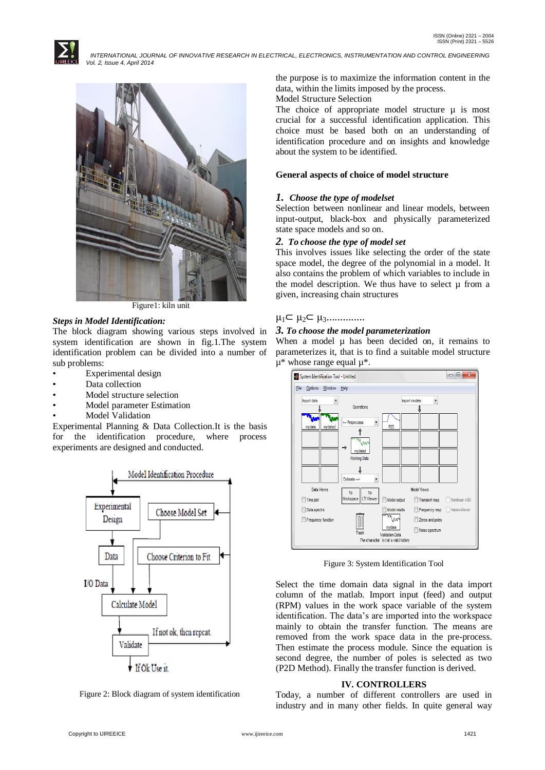

Figure1: kiln unit

## *Steps in Model Identification:*

The block diagram showing various steps involved in system identification are shown in fig.1.The system identification problem can be divided into a number of sub problems:

- Experimental design
- Data collection
- Model structure selection
- Model parameter Estimation
- Model Validation

Experimental Planning & Data Collection.It is the basis for the identification procedure, where process experiments are designed and conducted.



Figure 2: Block diagram of system identification

the purpose is to maximize the information content in the data, within the limits imposed by the process.

Model Structure Selection

The choice of appropriate model structure  $\mu$  is most crucial for a successful identification application. This choice must be based both on an understanding of identification procedure and on insights and knowledge about the system to be identified.

# **General aspects of choice of model structure**

## *1. Choose the type of modelset*

Selection between nonlinear and linear models, between input-output, black-box and physically parameterized state space models and so on.

## *2. To choose the type of model set*

This involves issues like selecting the order of the state space model, the degree of the polynomial in a model. It also contains the problem of which variables to include in the model description. We thus have to select  $\mu$  from a given, increasing chain structures

# $\mu_1 \subset \mu_2 \subset \mu_3$ ...............

#### *3. To choose the model parameterization*

When a model  $\mu$  has been decided on, it remains to parameterizes it, that is to find a suitable model structure  $\mu^*$  whose range equal  $\mu^*$ .



Figure 3: System Identification Tool

Select the time domain data signal in the data import column of the matlab. Import input (feed) and output (RPM) values in the work space variable of the system identification. The data's are imported into the workspace mainly to obtain the transfer function. The means are removed from the work space data in the pre-process. Then estimate the process module. Since the equation is second degree, the number of poles is selected as two (P2D Method). Finally the transfer function is derived.

# **IV. CONTROLLERS**

Today, a number of different controllers are used in industry and in many other fields. In quite general way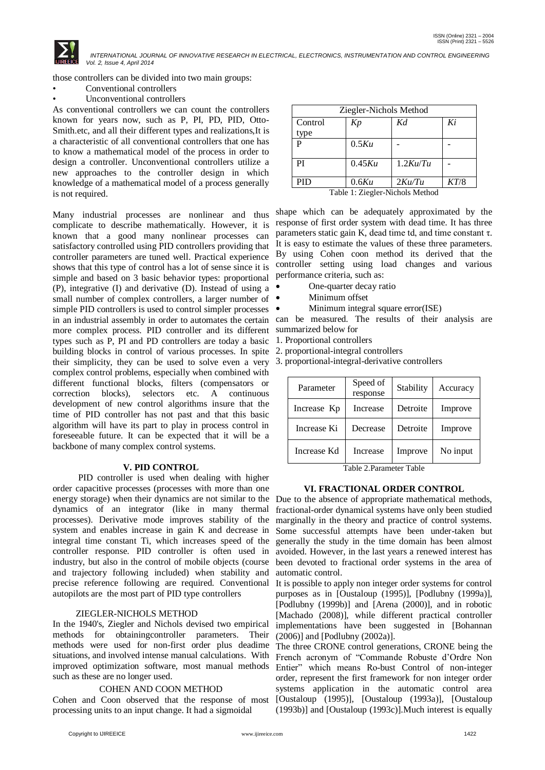

those controllers can be divided into two main groups:

- Conventional controllers
- Unconventional controllers

As conventional controllers we can count the controllers known for years now, such as P, PI, PD, PID, Otto-Smith.etc, and all their different types and realizations,It is a characteristic of all conventional controllers that one has to know a mathematical model of the process in order to design a controller. Unconventional controllers utilize a new approaches to the controller design in which knowledge of a mathematical model of a process generally is not required.

Many industrial processes are nonlinear and thus complicate to describe mathematically. However, it is known that a good many nonlinear processes can satisfactory controlled using PID controllers providing that controller parameters are tuned well. Practical experience shows that this type of control has a lot of sense since it is simple and based on 3 basic behavior types: proportional (P), integrative (I) and derivative (D). Instead of using a small number of complex controllers, a larger number of simple PID controllers is used to control simpler processes • in an industrial assembly in order to automates the certain can be measured. The results of their analysis are more complex process. PID controller and its different summarized below for types such as P, PI and PD controllers are today a basic 1. Proportional controllers building blocks in control of various processes. In spite 2. proportional-integral controllers their simplicity, they can be used to solve even a very 3. proportional-integral-derivative controllers complex control problems, especially when combined with different functional blocks, filters (compensators or correction blocks), selectors etc. A continuous development of new control algorithms insure that the time of PID controller has not past and that this basic algorithm will have its part to play in process control in foreseeable future. It can be expected that it will be a backbone of many complex control systems.

#### **V. PID CONTROL**

 PID controller is used when dealing with higher order capacitive processes (processes with more than one energy storage) when their dynamics are not similar to the Due to the absence of appropriate mathematical methods, dynamics of an integrator (like in many thermal processes). Derivative mode improves stability of the system and enables increase in gain K and decrease in integral time constant Ti, which increases speed of the controller response. PID controller is often used in industry, but also in the control of mobile objects (course and trajectory following included) when stability and precise reference following are required. Conventional autopilots are the most part of PID type controllers

# ZIEGLER-NICHOLS METHOD

In the 1940's, Ziegler and Nichols devised two empirical methods for obtainingcontroller parameters. Their methods were used for non-first order plus deadime situations, and involved intense manual calculations. With French acronym of "Commande Robuste d'Ordre Non improved optimization software, most manual methods such as these are no longer used.

# COHEN AND COON METHOD

Cohen and Coon observed that the response of most processing units to an input change. It had a sigmoidal

| Ziegler-Nichols Method          |        |          |      |  |
|---------------------------------|--------|----------|------|--|
| Control                         | Kp     | Kd       | Ki   |  |
| type                            |        |          |      |  |
| P                               | 0.5Ku  |          |      |  |
|                                 |        |          |      |  |
| PI                              | 0.45Ku | 1.2Ku/Tu |      |  |
|                                 |        |          |      |  |
| <b>PID</b>                      | 0.6Ku  | $2Ku$ Tu | KT/8 |  |
| Table 1: Ziegler-Nichols Method |        |          |      |  |

shape which can be adequately approximated by the response of first order system with dead time. It has three parameters static gain K, dead time td, and time constant τ. It is easy to estimate the values of these three parameters. By using Cohen coon method its derived that the controller setting using load changes and various performance criteria, such as:

- One-quarter decay ratio
- Minimum offset
- Minimum integral square error(ISE)

| Parameter   | Speed of<br>response | Stability | Accuracy |
|-------------|----------------------|-----------|----------|
| Increase Kp | Increase             | Detroite  | Improve  |
| Increase Ki | Decrease             | Detroite  | Improve  |
| Increase Kd | Increase             | Improve   | No input |

Table 2.Parameter Table

#### **VI. FRACTIONAL ORDER CONTROL**

fractional-order dynamical systems have only been studied marginally in the theory and practice of control systems. Some successful attempts have been under-taken but generally the study in the time domain has been almost avoided. However, in the last years a renewed interest has been devoted to fractional order systems in the area of automatic control.

It is possible to apply non integer order systems for control purposes as in [Oustaloup (1995)], [Podlubny (1999a)], [Podlubny (1999b)] and [Arena (2000)], and in robotic [Machado (2008)], while different practical controller implementations have been suggested in [Bohannan (2006)] and [Podlubny (2002a)].

The three CRONE control generations, CRONE being the Entier" which means Ro-bust Control of non-integer order, represent the first framework for non integer order systems application in the automatic control area [Oustaloup (1995)], [Oustaloup (1993a)], [Oustaloup (1993b)] and [Oustaloup (1993c)].Much interest is equally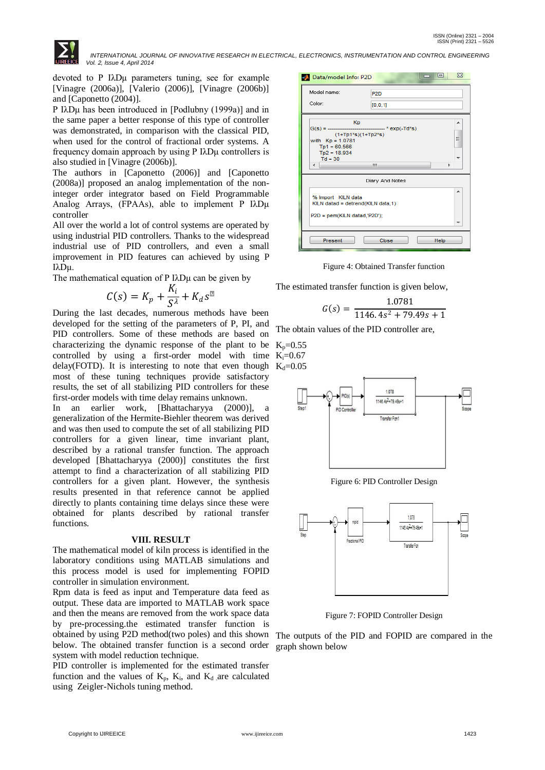

devoted to P IλDμ parameters tuning, see for example [Vinagre (2006a)], [Valerio (2006)], [Vinagre (2006b)] and [Caponetto (2004)].

P IλDμ has been introduced in [Podlubny (1999a)] and in the same paper a better response of this type of controller was demonstrated, in comparison with the classical PID, when used for the control of fractional order systems. A frequency domain approach by using P IλDμ controllers is also studied in [Vinagre (2006b)].

The authors in [Caponetto (2006)] and [Caponetto (2008a)] proposed an analog implementation of the noninteger order integrator based on Field Programmable Analog Arrays, (FPAAs), able to implement P IλDμ controller

All over the world a lot of control systems are operated by using industrial PID controllers. Thanks to the widespread industrial use of PID controllers, and even a small improvement in PID features can achieved by using P IλDμ.

The mathematical equation of P IλDμ can be given by

$$
C(s) = K_p + \frac{K_i}{S^{\lambda}} + K_d s^{\mu}
$$

During the last decades, numerous methods have been developed for the setting of the parameters of P, PI, and PID controllers. Some of these methods are based on characterizing the dynamic response of the plant to be controlled by using a first-order model with time delay(FOTD). It is interesting to note that even though  $K_d=0.05$ most of these tuning techniques provide satisfactory results, the set of all stabilizing PID controllers for these first-order models with time delay remains unknown.

In an earlier work, [Bhattacharyya (2000)], a generalization of the Hermite-Biehler theorem was derived and was then used to compute the set of all stabilizing PID controllers for a given linear, time invariant plant, described by a rational transfer function. The approach developed [Bhattacharyya (2000)] constitutes the first attempt to find a characterization of all stabilizing PID controllers for a given plant. However, the synthesis results presented in that reference cannot be applied directly to plants containing time delays since these were obtained for plants described by rational transfer functions.

#### **VIII. RESULT**

The mathematical model of kiln process is identified in the laboratory conditions using MATLAB simulations and this process model is used for implementing FOPID controller in simulation environment.

Rpm data is feed as input and Temperature data feed as output. These data are imported to MATLAB work space and then the means are removed from the work space data by pre-processing.the estimated transfer function is obtained by using P2D method(two poles) and this shown below. The obtained transfer function is a second order system with model reduction technique.

PID controller is implemented for the estimated transfer function and the values of  $K_p$ ,  $K_i$ , and  $K_d$  are calculated using Zeigler-Nichols tuning method.

| Data/model Info: P2D                                                                                                 | ⊡<br>ΣS                                      |
|----------------------------------------------------------------------------------------------------------------------|----------------------------------------------|
| Model name:<br>Color:                                                                                                | P <sub>2D</sub><br>[0, 0, 1]                 |
| Kp<br>$G(s) = -$<br>$(1+Tp1*s)(1+Tp2*s)$<br>with $Kp = 1.0781$<br>$Tp1 = 60.566$<br>$Tp2 = 18.934$<br>$Td = 30$<br>∢ | ▴<br>--------------- * exp(-Td*s)<br>Ξ<br>m. |
| % Import KILN data<br>KILN datad = detrend(KILN data,1)<br>P2D = pem(KILN datad,'P2D');                              | Diary And Notes<br>▴                         |
| Present                                                                                                              | Close<br>Help                                |

Figure 4: Obtained Transfer function

The estimated transfer function is given below,

$$
G(s) = \frac{1.0781}{1146.4s^2 + 79.49s + 1}
$$

The obtain values of the PID controller are,



Figure 6: PID Controller Design



Figure 7: FOPID Controller Design

The outputs of the PID and FOPID are compared in the graph shown below